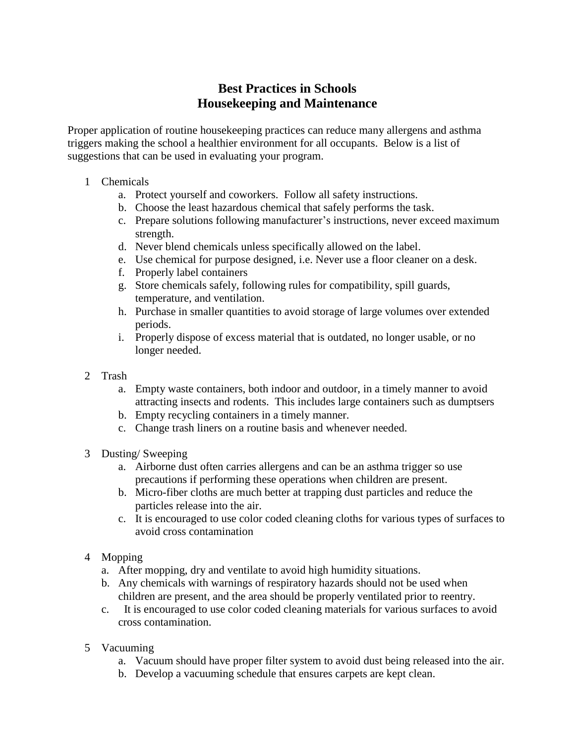## **Best Practices in Schools Housekeeping and Maintenance**

Proper application of routine housekeeping practices can reduce many allergens and asthma triggers making the school a healthier environment for all occupants. Below is a list of suggestions that can be used in evaluating your program.

- 1 Chemicals
	- a. Protect yourself and coworkers. Follow all safety instructions.
	- b. Choose the least hazardous chemical that safely performs the task.
	- c. Prepare solutions following manufacturer's instructions, never exceed maximum strength.
	- d. Never blend chemicals unless specifically allowed on the label.
	- e. Use chemical for purpose designed, i.e. Never use a floor cleaner on a desk.
	- f. Properly label containers
	- g. Store chemicals safely, following rules for compatibility, spill guards, temperature, and ventilation.
	- h. Purchase in smaller quantities to avoid storage of large volumes over extended periods.
	- i. Properly dispose of excess material that is outdated, no longer usable, or no longer needed.
- 2 Trash
	- a. Empty waste containers, both indoor and outdoor, in a timely manner to avoid attracting insects and rodents. This includes large containers such as dumptsers
	- b. Empty recycling containers in a timely manner.
	- c. Change trash liners on a routine basis and whenever needed.
- 3 Dusting/ Sweeping
	- a. Airborne dust often carries allergens and can be an asthma trigger so use precautions if performing these operations when children are present.
	- b. Micro-fiber cloths are much better at trapping dust particles and reduce the particles release into the air.
	- c. It is encouraged to use color coded cleaning cloths for various types of surfaces to avoid cross contamination
- 4 Mopping
	- a. After mopping, dry and ventilate to avoid high humidity situations.
	- b. Any chemicals with warnings of respiratory hazards should not be used when children are present, and the area should be properly ventilated prior to reentry.
	- c. It is encouraged to use color coded cleaning materials for various surfaces to avoid cross contamination.
- 5 Vacuuming
	- a. Vacuum should have proper filter system to avoid dust being released into the air.
	- b. Develop a vacuuming schedule that ensures carpets are kept clean.